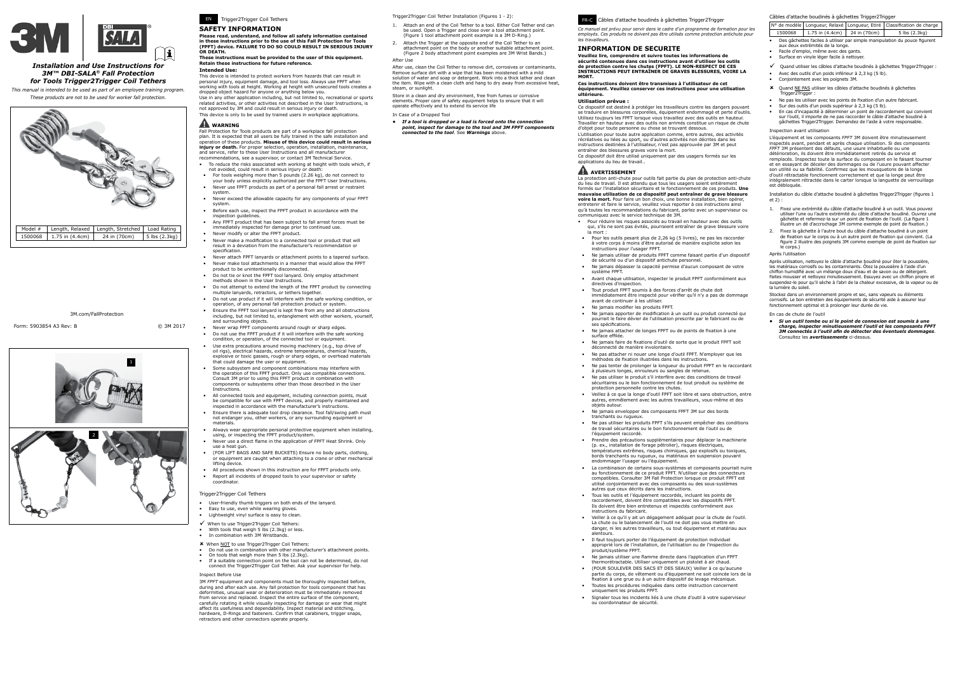

### *Installation and Use Instructions for 3M™ DBI-SALA® Fall Protection for Tools Trigger2Trigger Coil Tethers*

*This manual is intended to be used as part of an employee training program. These products are not to be used for worker fall protection.*

Form: 5903854 A3 Rev: B © 3M 2017

3M.com/FallProtection

1



# EN Trigger2Trigger Coil Tethers **SAFETY INFORMATION**

# **Please read, understand, and follow all safety information contained in these instructions prior to the use of this Fall Protection for Tools (FPFT) device. FAILURE TO DO SO COULD RESULT IN SERIOUS INJURY OR DEATH.**

#### **These instructions must be provided to the user of this equipment. Retain these instructions for future reference. Intended Use:**

This device is intended to protect workers from hazards that can result in personal injury, equipment damage, and tool loss. Always use FPFT when working with tools at height. Working at height with unsecured tools creates a dropped object hazard for anyone or anything below you.

Use in any other application including, but not limited to, recreational or sports related activities, or other activities not described in the User Instructions, is not approved by 3M and could result in serious injury or death. This device is only to be used by trained users in workplace applications.

#### **WARNING**

#### Fall Protection for Tools products are part of a workplace fall protection plan. It is expected that all users be fully trained in the safe installation and operation of these products. **Misuse of this device could result in serious injury or death.** For proper selection, operation, installation, maintenance, and service, refer to these User Instructions and all manufacturer recommendations, see a supervisor, or contact 3M Technical Service.

- To reduce the risks associated with working at height with tools which, if not avoided, could result in serious injury or death:
	- For tools weighing more than 5 pounds (2.26 kg), do not connect to your body unless explicitly authorized per the FPFT User Instructions.
	- Never use FPFT products as part of a personal fall arrest or restraint system.
- Never exceed the allowable capacity for any components of your FPFT system.
- Before each use, inspect the FPFT product in accordance with the inspection quid
- Any FPFT product that has been subject to fall arrest forces must be immediately inspected for damage prior to continued use. • Never modify or alter the FPFT product.
- Never make a modification to a connected tool or product that will result in a deviation from the manufacturer's recommendation or
- specification. • Never attach FPFT lanyards or attachment points to a tapered surface.
- Never make tool attachments in a manner that would allow the FPFT product to be unintentionally disconnected.
- Do not tie or knot the FPFT tool lanyard. Only employ attachment
- methods shown in the User Instructions. • Do not attempt to extend the length of the FPFT product by connecting multiple lanyards, retractors, or tethers together.
- Do not use product if it will interfere with the safe working condition, or operation, of any personal fall protection product or system.
- Ensure the FPFT tool lanyard is kept free from any and all obstructions including, but not limited to, entanglement with other workers, yourself, and surrounding objects.
- Never wrap FPFT components around rough or sharp edges. • Do not use the FPFT product if it will interfere with the safe working condition, or operation, of the connected tool or equipment.
- Use extra precautions around moving machinery (e.g., top drive of oil rigs), electrical hazards, extreme temperatures, chemical hazards, explosive or toxic gasses, rough or sharp edges, or overhead materials that could damage the user or equipment.
- Some subsystem and component combinations may interfere with the operation of this FPFT product. Only use compatible connections. Consult 3M prior to using this FPFT product in combination with components or subsystems other than those described in the User Instructions.
- All connected tools and equipment, including connection points, must be compatible for use with FPFT devices, and properly maintained and inspected in accordance with the manufacturer's instructions.
- Ensure there is adequate tool drop clearance. Tool fall/swing path must not endanger you, other workers, or any surrounding equipment or materials.
- Always wear appropriate personal protective equipment when installing, using, or inspecting the FPFT product/system.
- erally the control of the application of FPFT Heat Shrink. Only use a heat gun.
- (FOR LIFT BAGS AND SAFE BUCKETS) Ensure no body parts, clothing, or equipment are caught when attaching to a crane or other mech lifting device.
- All procedures shown in this instruction are for FPFT products only. • Report all incidents of dropped tools to your supervisor or safety coordinator.

Store in a clean and dry environment, free from fumes or corrosive elements. Proper care of safety equipment helps to ensure that it will operate effectively and to extend its service life

> Ce dispositif doit être utilisé uniquement par des usagers formés sur les lications du lieu de travail.

### **AVERTISSEMENT**

La protection anti-chute pour outils fait partie du plan de protection anti-chute du lieu de travail. Il est attendu que tous les usagers soient entièrement<br>formés sur l'installation sécuritaire et le fonctionnement de ces produits. **Une**<br>**mauvaise utilisation de ce dispositif peut entraîner de grave bl** 

**voire la mort.** Pour faire un bon choix, une bonne installation, bien opérer,<br>entretenir et faire le service, veuillez vous reporter à ces instructions ainsi qu'à toutes les recommandations du fabricant, parlez avec un superviseur ou communiquez avec le service technique de 3M.

#### Trigger2Trigger Coil Tethers

- User-friendly thumb triggers on both ends of the lanyard.
- Easy to use, even while wearing gloves.
- Lightweight vinyl surface is easy to clean.
- .<br>When to use Trigger2Trigger Coil Tethers:
- With tools that weigh 5 lbs (2.3kg) or less.
- In combination with 3M Wristbands.
- **x** When NOT to use Trigger2Trigger Coil Tethers:
- Do not use in combination with other manufacturer's attachment points. On tools that weigh more than 5 lbs (2.3kg).
- If a suitable connection point on the tool can not be determined, do not connect the Trigger2Trigger Coil Tether. Ask your supervisor for help.

#### Inspect Before Use

3M *FPFT* equipment and components must be thoroughly inspected before, during and after each use. Any fall protection for tools component that has<br>deformities, unusual wear or deterioration must be immediately removed<br>from service and replaced. Inspect the entire surface of the component, carefully rotating it while visually inspecting for damage or wear that might affect its usefulness and dependability. Inspect material and stitching, hardware, D-Rings and fasteners. Confirm that carabiners, trigger snaps, retractors and other connectors operate properly.

Trigger2Trigger Coil Tether Installation (Figures 1 - 2):

- 1. Attach an end of the Coil Tether to a tool. Either Coil Tether end can be used. Open a Trigger and close over a tool attachment point. (Figure 1 tool attachment point example is a 3M D-Ring.)
- 2. Attach the Trigger at the opposite end of the Coil Tether to an attachment point on the body or another suitable attachment point. (Figure 2 body attachment point examples are 3M Wrist Bands.) After Use

After use, clean the Coil Tether to remove dirt, corrosives or contaminants. Remove surface dirt with a wipe that has been moistened with a mild solution of water and soap or detergent. Work into a thick lather and clean the item. Wipe with a clean cloth and hang to dry away from excessive heat, steam, or sunlight.

In Case of a Dropped Tool

*• If a tool is dropped or a load is forced onto the connection point, inspect for damage to the tool and 3M FPFT components connected to the tool*. See *Warnings* above.



*Ce manuel est prévu pour servir dans le cadre d'un programme de formation pour les*  employés. Ces produits ne doivent pas être utilisés comme protection antichute pour *les travailleurs.*

# **INFORMATION DE SÉCURITÉ**

**Veuillez lire, comprendre et suivre toutes les informations de sécurité contenues dans ces instructions avant d'utiliser les outils de protection contre les chutes (FPFT). LE NON-RESPECT DE CES INSTRUCTIONS PEUT ENTRAÎNER DE GRAVES BLESSURES, VOIRE LA MORT.**

**Ces instructions doivent être transmises à l'utilisateur de cet équipement. Veuillez conserver ces instructions pour une utilisation ultérieure.**

### **Utilisation prévue :**

Ce dispositif est destiné à protéger les travailleurs contre les dangers pouvant se traduire en blessures corporelles, équipement endommagé et perte d'outils. Utilisez toujours les FPFT lorsque vous travaillez avec des outils en hauteur. Travailler en hauteur avec des outils non arrimés constitue un risque de chute d'objet pour toute personne ou chose se trouvant dessous.

L'utilisation pour toute autre application comme, entre autres, des activités récréatives ou liées au sport, ou d'autres activités non décrites dans les instructions destinées à l'utilisateur, n'est pas approuvée par 3M et peut entraîner des blessures graves voire la mort.

- Pour réduire les risques associés au travail en hauteur avec des outils qui, s'ils ne sont pas évités, pourraient entraîner de grave blessure voire la mort :
- Pour les outils pesant plus de 2,26 kg (5 livres), ne pas les raccorder à votre corps à moins d'être autorisé de manière explicite selon les instructions pour l'usager FPFT.
- Ne jamais utiliser de produits FPFT comme faisant partie d'un dispositif de sécurité ou d'un dispositif antichute personnel.
- Ne jamais dépasser la capacité permise d'aucun composant de votre système FPFT.
- Avant chaque utilisation, inspecter le produit FPFT conformément aux directives d'inspection.
- Tout produit FPFT soumis à des forces d'arrêt de chute doit immédiatement être inspecté pour vérifier qu'il n'y a pas de dommage avant de continuer à les utiliser.
- Ne jamais modifier les produits FPFT.
- Ne jamais apporter de modifi cation à un outil ou produit connecté qui pourrait le faire dévier de l'utilisation prescrite par le fabricant ou de ses spécifications.
- Ne jamais attacher de longes FPFT ou de points de fixation à une surface effilée. • Ne jamais faire de fixations d'outil de sorte que le produit FPFT soit
- déconnecté de manière involontaire. • Ne pas attacher ni nouer une longe d'outil FPFT. N'employer que les méthodes de fixation illustrées dans les instructions
- Ne pas tenter de prolonger la longueur du produit FPFT en le raccordant à plusieurs longes, enrouleurs ou sangles de retenue.
- Ne pas utiliser le produit s'il interfère avec des conditions de travail sécuritaires ou le bon fonctionnement de tout produit ou système de protection personnelle contre les chutes.
- Veillez à ce que la longe d'outil FPFT soit libre et sans obstruction, entre autres, emmêlement avec les autres travailleurs, vous-même et des objets autour.
- Ne jamais envelopper des composants FPFT 3M sur des bords tranchants ou rugueux.
- Ne pas utiliser les produits FPFT s'ils peuvent empêcher des conditions de travail sécuritaires ou le bon fonctionnement de l'outil ou de l'équipement raccordé.
- Prendre des précautions supplémentaires pour déplacer la machinerie (p. ex., installation de forage pétrolier), risques électriques, températures extrêmes, risques chimiques, gaz explosifs ou toxiques, bords tranchants ou rugueux, ou matériaux en suspension pouvant endommager l'usager ou l'équipement.
- La combinaison de certains sous-systèmes et composants pourrait nuire au fonctionnement de ce produit FPFT. N'utiliser que des connecteurs compatibles. Consulter 3M Fall Protection lorsque ce produit FPFT est utilisé conjointement avec des composants ou des sous-systèmes autres que ceux décrits dans les instructions.
- Tous les outils et l'équipement raccordés, incluant les points de raccordement, doivent être compatibles avec les dispositifs FPFT. Ils doivent être bien entretenus et inspectés conformément aux instructions du fabricant.
- Veiller à ce qu'il y ait un dégagement adéquat pour la chute de l'outil. La chute ou le balancement de l'outil ne doit pas vous mettre en danger, ni les autres travailleurs, ou tout équipement et matériau aux alentours.
- Il faut toujours porter de l'équipement de protection individuel approprié lors de l'installation, de l'utilisation ou de l'inspection du produit/système FPFT.
- Ne jamais utiliser une flamme directe dans l'application d'un FPFT thermorétractable. Utiliser uniquement un pistolet à air chaud. • (POUR SOULEVER DES SACS ET DES SEAUX) Veiller à ce qu'aucune
- partie du corps, de vêtement ou d'équipement ne soit coincée lors de la fi xation à une grue ou à un autre dispositif de levage mécanique. • Toutes les procédures indiquées dans cette instruction concernent
- uniquement les produits FPFT.
- Signaler tous les incidents liés à une chute d'outil à votre superviseur ou coordonnateur de sécurité.

#### FR-C Câbles d'attache boudinés à gâchettes Trigger2Trigger

Câbles d'attache boudinés à gâchettes Trigger2Trigger

|                                                                                                                     |                                           |                 |              | N° de modèle   Longueur, Relaxé   Longueur, Etiré   Classification de charge |  |
|---------------------------------------------------------------------------------------------------------------------|-------------------------------------------|-----------------|--------------|------------------------------------------------------------------------------|--|
|                                                                                                                     | 1500068                                   | 1.75 in (4.4cm) | 24 in (70cm) | 5 lbs (2.3kg)                                                                |  |
| Des gâchettes faciles à utiliser par simple manipulation du pouce figurent<br>٠<br>aux deux extrémités de la longe. |                                           |                 |              |                                                                              |  |
| $\bullet$                                                                                                           | Facile d'emploi, même avec des gants.     |                 |              |                                                                              |  |
|                                                                                                                     | Surface on vinyle léger facile à nottever |                 |              |                                                                              |  |

- Surface en vinyle léger facile à nettoyer.
- $\checkmark$  Quand utiliser les câbles d'attache boudinés à gâchettes Trigger2Trigger : • Avec des outils d'un poids inférieur à 2,3 kg (5 lb).
- Conjointement avec les poignets 3M.
- û Quand NE PAS utiliser les câbles d'attache boudinés à gâchettes .<br>Trigger2Trigger
- Ne pas les utiliser avec les points de fixation d'un autre fabricant. Sur des outils d'un poids supérieur à 2,3 kg (5 lb).
- En cas d'incapacité à déterminer un point de raccordement qui convient sur l'outil, il importe de ne pas raccorder le câble d'attache boudiné à gâchettes Trigger2Trigger. Demandez de l'aide à votre responsable.

#### Inspection avant utilisation

L'équipement et les composants *FPFT* 3M doivent être minutieusement inspectés avant, pendant et après chaque utilisation. Si des composants *FPFT* 3M présentent des défauts, une usure inhabituelle ou une détérioration, ils doivent être immédiatement retirés du service et remplacés. Inspectez toute la surface du composant en le faisant tourner et en essayant de déceler des dommages ou de l'usure pouvant affecter son utilité ou sa fiabilité. Confirmez que les mousquetons de la longe<br>d'outil rétractable fonctionnent correctement et que la longe peut être<br>intégralement rétractée dans le carter lorsque la languette de verrouillage est débloquée.

Installation du câble d'attache boudiné à gâchettes Trigger2Trigger (figures 1 et 2) :

- 1. Fixez une extrémité du câble d'attache boudiné à un outil. Vous pouvez utiliser l'une ou l'autre extrémité du câble d'attache boudiné. Ouvrez une gâchette et refermez-la sur un point de fixation de l'outil. (La figure 1 illustre un dé d'accrochage 3M comme exemple de point de fixation.)
- 2. Fixez la gâchette à l'autre bout du câble d'attache boudiné à un point de fixation sur le corps ou à un autre point de fixation qui convient. (La figure 2 illustre des poignets 3M comme exemple de point de fixation sur le corps.)

Après l'utilisation

Après utilisation, nettoyez le câble d'attache boudiné pour ôter la poussière, les matériaux corrosifs ou les contaminants. Ôtez la poussière à l'aide d'un chiffon humidifié avec un mélange doux d'eau et de savon ou de détergent. Faites mousser et nettoyez minutieusement. Essuyez avec un chiffon propre et suspendez-le pour qu'il sèche à l'abri de la chaleur excessive, de la vapeur ou de la lumière du soleil.

Stockez dans un environnement propre et sec, sans vapeurs ou éléments corrosifs. Le bon entretien des équipements de sécurité aide à assurer leur fonctionnement optimal et à prolonger leur durée de vie.

En cas de chute de l'outil

*• Si un outil tombe ou si le point de connexion est soumis à une charge, inspecter minutieusement l'outil et les composants FPFT 3M connectés à l'outil afin de détecter des éventuels dommages*. Consultez les *avertissements* ci-dessus.